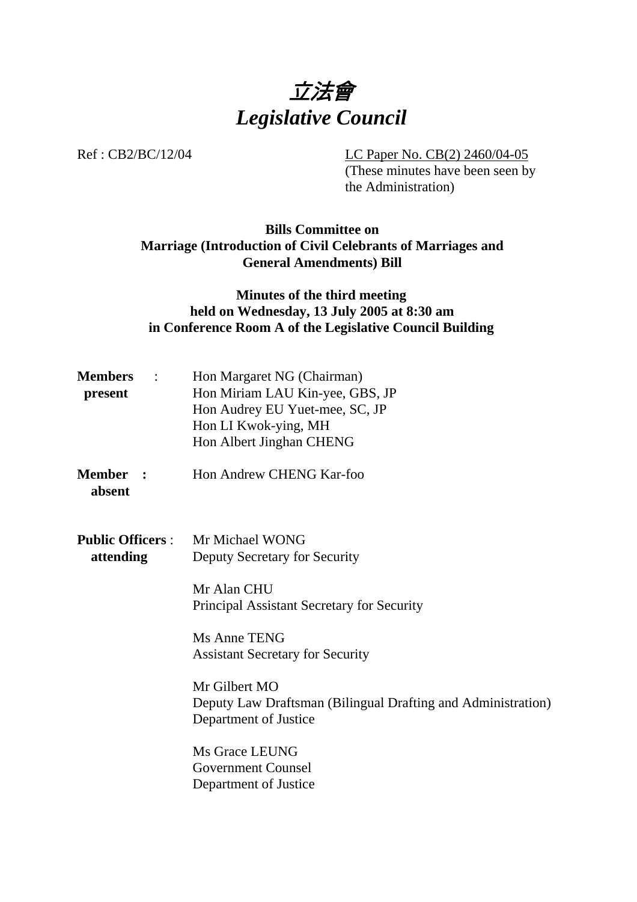

Ref : CB2/BC/12/04 LC Paper No. CB(2) 2460/04-05

(These minutes have been seen by the Administration)

# **Bills Committee on Marriage (Introduction of Civil Celebrants of Marriages and General Amendments) Bill**

### **Minutes of the third meeting held on Wednesday, 13 July 2005 at 8:30 am in Conference Room A of the Legislative Council Building**

| <b>Members</b><br>$\sim$ $\sim$ $\sim$<br>present | Hon Margaret NG (Chairman)<br>Hon Miriam LAU Kin-yee, GBS, JP<br>Hon Audrey EU Yuet-mee, SC, JP<br>Hon LI Kwok-ying, MH<br>Hon Albert Jinghan CHENG                                                                                                                                                                                 |  |  |
|---------------------------------------------------|-------------------------------------------------------------------------------------------------------------------------------------------------------------------------------------------------------------------------------------------------------------------------------------------------------------------------------------|--|--|
| <b>Member</b><br>$\sim$ 2.<br>absent              | Hon Andrew CHENG Kar-foo                                                                                                                                                                                                                                                                                                            |  |  |
| attending                                         | <b>Public Officers:</b> Mr Michael WONG<br><b>Deputy Secretary for Security</b><br>Mr Alan CHU<br>Principal Assistant Secretary for Security<br>Ms Anne TENG<br><b>Assistant Secretary for Security</b><br>Mr Gilbert MO<br>Deputy Law Draftsman (Bilingual Drafting and Administration)<br>Department of Justice<br>Ms Grace LEUNG |  |  |
|                                                   | <b>Government Counsel</b><br>Department of Justice                                                                                                                                                                                                                                                                                  |  |  |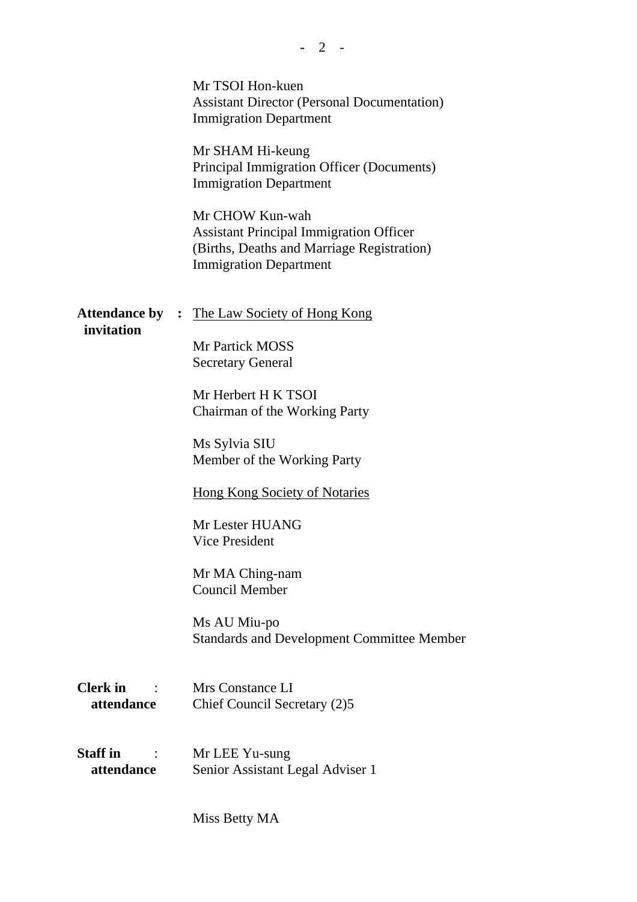|                                                               | Mr TSOI Hon-kuen<br><b>Assistant Director (Personal Documentation)</b><br><b>Immigration Department</b><br>Mr SHAM Hi-keung<br>Principal Immigration Officer (Documents)<br><b>Immigration Department</b><br>Mr CHOW Kun-wah<br><b>Assistant Principal Immigration Officer</b><br>(Births, Deaths and Marriage Registration)<br><b>Immigration Department</b>                            |
|---------------------------------------------------------------|------------------------------------------------------------------------------------------------------------------------------------------------------------------------------------------------------------------------------------------------------------------------------------------------------------------------------------------------------------------------------------------|
| <b>Attendance by :</b><br>invitation                          | The Law Society of Hong Kong<br><b>Mr Partick MOSS</b><br><b>Secretary General</b><br>Mr Herbert H K TSOI<br>Chairman of the Working Party<br>Ms Sylvia SIU<br>Member of the Working Party<br><b>Hong Kong Society of Notaries</b><br>Mr Lester HUANG<br><b>Vice President</b><br>Mr MA Ching-nam<br>Council Member<br>Ms AU Miu-po<br><b>Standards and Development Committee Member</b> |
| <b>Clerk</b> in<br>$\sim$ 100 $\sim$ 100 $\sim$<br>attendance | Mrs Constance LI<br>Chief Council Secretary (2)5                                                                                                                                                                                                                                                                                                                                         |
| <b>Staff</b> in<br>attendance                                 | Mr LEE Yu-sung<br>Senior Assistant Legal Adviser 1                                                                                                                                                                                                                                                                                                                                       |

**-** 2 -

Miss Betty MA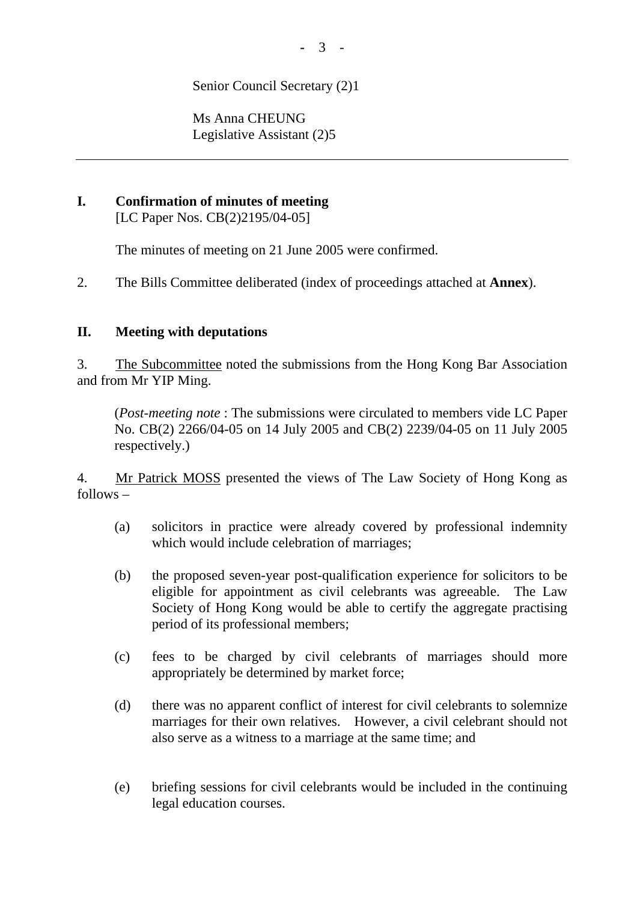Senior Council Secretary (2)1

Ms Anna CHEUNG Legislative Assistant (2)5

#### **I. Confirmation of minutes of meeting**  [LC Paper Nos. CB(2)2195/04-05]

The minutes of meeting on 21 June 2005 were confirmed.

2. The Bills Committee deliberated (index of proceedings attached at **Annex**).

#### **II. Meeting with deputations**

3. The Subcommittee noted the submissions from the Hong Kong Bar Association and from Mr YIP Ming.

(*Post-meeting note* : The submissions were circulated to members vide LC Paper No. CB(2) 2266/04-05 on 14 July 2005 and CB(2) 2239/04-05 on 11 July 2005 respectively.)

4. Mr Patrick MOSS presented the views of The Law Society of Hong Kong as follows –

- (a) solicitors in practice were already covered by professional indemnity which would include celebration of marriages;
- (b) the proposed seven-year post-qualification experience for solicitors to be eligible for appointment as civil celebrants was agreeable. The Law Society of Hong Kong would be able to certify the aggregate practising period of its professional members;
- (c) fees to be charged by civil celebrants of marriages should more appropriately be determined by market force;
- (d) there was no apparent conflict of interest for civil celebrants to solemnize marriages for their own relatives. However, a civil celebrant should not also serve as a witness to a marriage at the same time; and
- (e) briefing sessions for civil celebrants would be included in the continuing legal education courses.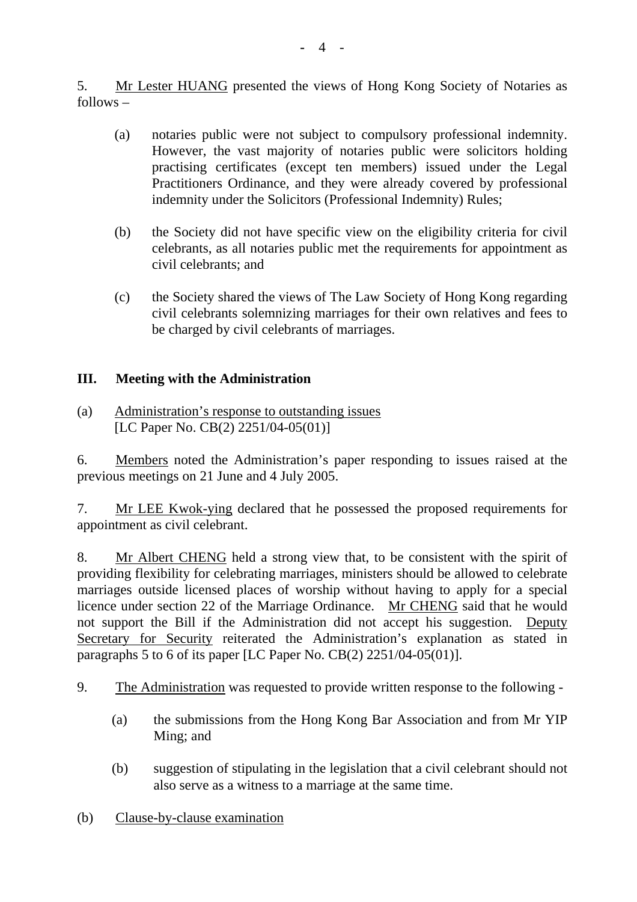5. Mr Lester HUANG presented the views of Hong Kong Society of Notaries as follows –

- (a) notaries public were not subject to compulsory professional indemnity. However, the vast majority of notaries public were solicitors holding practising certificates (except ten members) issued under the Legal Practitioners Ordinance, and they were already covered by professional indemnity under the Solicitors (Professional Indemnity) Rules;
- (b) the Society did not have specific view on the eligibility criteria for civil celebrants, as all notaries public met the requirements for appointment as civil celebrants; and
- (c) the Society shared the views of The Law Society of Hong Kong regarding civil celebrants solemnizing marriages for their own relatives and fees to be charged by civil celebrants of marriages.

# **III. Meeting with the Administration**

(a) Administration's response to outstanding issues [LC Paper No. CB(2) 2251/04-05(01)]

6. Members noted the Administration's paper responding to issues raised at the previous meetings on 21 June and 4 July 2005.

7. Mr LEE Kwok-ying declared that he possessed the proposed requirements for appointment as civil celebrant.

8. Mr Albert CHENG held a strong view that, to be consistent with the spirit of providing flexibility for celebrating marriages, ministers should be allowed to celebrate marriages outside licensed places of worship without having to apply for a special licence under section 22 of the Marriage Ordinance. Mr CHENG said that he would not support the Bill if the Administration did not accept his suggestion. Deputy Secretary for Security reiterated the Administration's explanation as stated in paragraphs 5 to 6 of its paper [LC Paper No. CB(2) 2251/04-05(01)].

- 9. The Administration was requested to provide written response to the following
	- (a) the submissions from the Hong Kong Bar Association and from Mr YIP Ming; and
	- (b) suggestion of stipulating in the legislation that a civil celebrant should not also serve as a witness to a marriage at the same time.
- (b) Clause-by-clause examination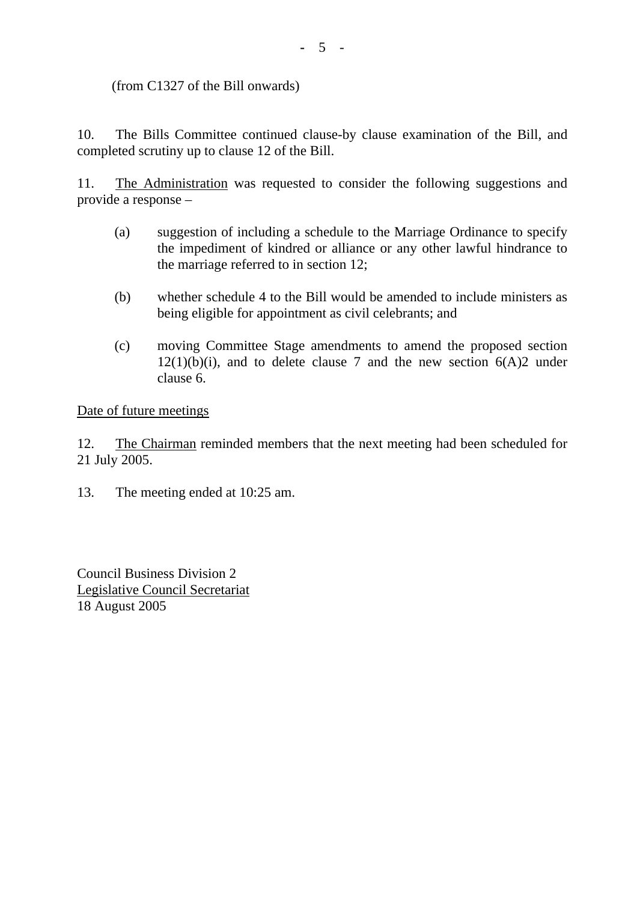(from C1327 of the Bill onwards)

10. The Bills Committee continued clause-by clause examination of the Bill, and completed scrutiny up to clause 12 of the Bill.

11. The Administration was requested to consider the following suggestions and provide a response –

- (a) suggestion of including a schedule to the Marriage Ordinance to specify the impediment of kindred or alliance or any other lawful hindrance to the marriage referred to in section 12;
- (b) whether schedule 4 to the Bill would be amended to include ministers as being eligible for appointment as civil celebrants; and
- (c) moving Committee Stage amendments to amend the proposed section  $12(1)(b)(i)$ , and to delete clause 7 and the new section  $6(A)2$  under clause 6.

Date of future meetings

12. The Chairman reminded members that the next meeting had been scheduled for 21 July 2005.

13. The meeting ended at 10:25 am.

Council Business Division 2 Legislative Council Secretariat 18 August 2005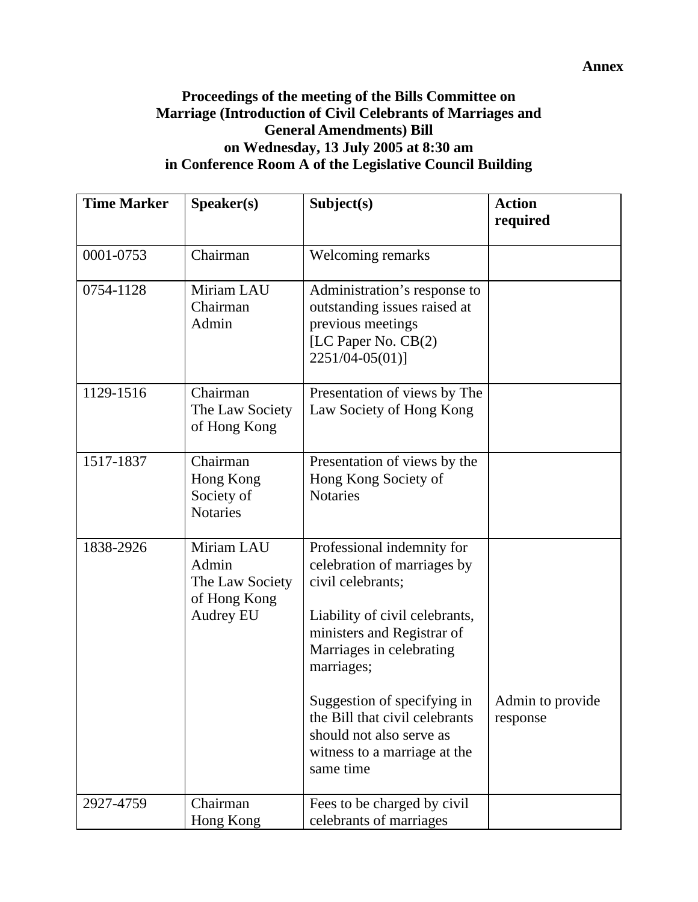### **Proceedings of the meeting of the Bills Committee on Marriage (Introduction of Civil Celebrants of Marriages and General Amendments) Bill on Wednesday, 13 July 2005 at 8:30 am in Conference Room A of the Legislative Council Building**

| <b>Time Marker</b> | Speaker(s)                                                          | Subject(s)                                                                                                                                                                               | <b>Action</b><br>required    |
|--------------------|---------------------------------------------------------------------|------------------------------------------------------------------------------------------------------------------------------------------------------------------------------------------|------------------------------|
| 0001-0753          | Chairman                                                            | Welcoming remarks                                                                                                                                                                        |                              |
| 0754-1128          | Miriam LAU<br>Chairman<br>Admin                                     | Administration's response to<br>outstanding issues raised at<br>previous meetings<br>[LC Paper No. CB(2)<br>2251/04-05(01)]                                                              |                              |
| 1129-1516          | Chairman<br>The Law Society<br>of Hong Kong                         | Presentation of views by The<br>Law Society of Hong Kong                                                                                                                                 |                              |
| 1517-1837          | Chairman<br>Hong Kong<br>Society of<br><b>Notaries</b>              | Presentation of views by the<br>Hong Kong Society of<br><b>Notaries</b>                                                                                                                  |                              |
| 1838-2926          | Miriam LAU<br>Admin<br>The Law Society<br>of Hong Kong<br>Audrey EU | Professional indemnity for<br>celebration of marriages by<br>civil celebrants;<br>Liability of civil celebrants,<br>ministers and Registrar of<br>Marriages in celebrating<br>marriages; |                              |
|                    |                                                                     | Suggestion of specifying in<br>the Bill that civil celebrants<br>should not also serve as<br>witness to a marriage at the<br>same time                                                   | Admin to provide<br>response |
| 2927-4759          | Chairman<br>Hong Kong                                               | Fees to be charged by civil<br>celebrants of marriages                                                                                                                                   |                              |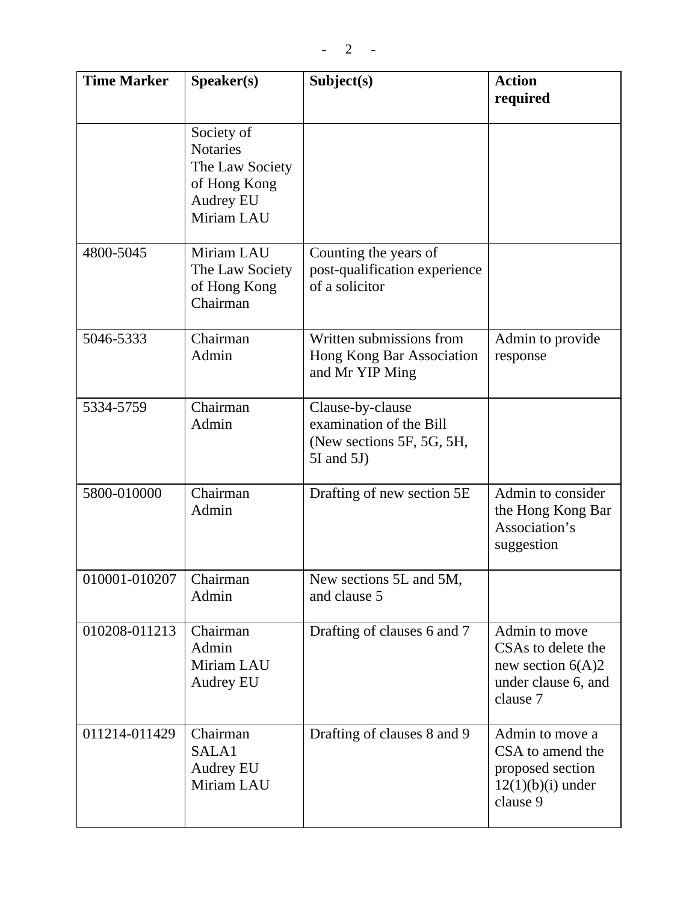| <b>Time Marker</b> | Speaker(s)                                                                                  | Subject(s)                                                                                  | <b>Action</b><br>required                                                                     |
|--------------------|---------------------------------------------------------------------------------------------|---------------------------------------------------------------------------------------------|-----------------------------------------------------------------------------------------------|
|                    | Society of<br><b>Notaries</b><br>The Law Society<br>of Hong Kong<br>Audrey EU<br>Miriam LAU |                                                                                             |                                                                                               |
| 4800-5045          | Miriam LAU<br>The Law Society<br>of Hong Kong<br>Chairman                                   | Counting the years of<br>post-qualification experience<br>of a solicitor                    |                                                                                               |
| 5046-5333          | Chairman<br>Admin                                                                           | Written submissions from<br>Hong Kong Bar Association<br>and Mr YIP Ming                    | Admin to provide<br>response                                                                  |
| 5334-5759          | Chairman<br>Admin                                                                           | Clause-by-clause<br>examination of the Bill<br>(New sections 5F, 5G, 5H,<br>$5I$ and $5J$ ) |                                                                                               |
| 5800-010000        | Chairman<br>Admin                                                                           | Drafting of new section 5E                                                                  | Admin to consider<br>the Hong Kong Bar<br>Association's<br>suggestion                         |
| 010001-010207      | Chairman<br>Admin                                                                           | New sections 5L and 5M,<br>and clause 5                                                     |                                                                                               |
| 010208-011213      | Chairman<br>Admin<br>Miriam LAU<br>Audrey EU                                                | Drafting of clauses 6 and 7                                                                 | Admin to move<br>CSAs to delete the<br>new section $6(A)2$<br>under clause 6, and<br>clause 7 |
| 011214-011429      | Chairman<br>SALA1<br><b>Audrey EU</b><br>Miriam LAU                                         | Drafting of clauses 8 and 9                                                                 | Admin to move a<br>CSA to amend the<br>proposed section<br>$12(1)(b)(i)$ under<br>clause 9    |